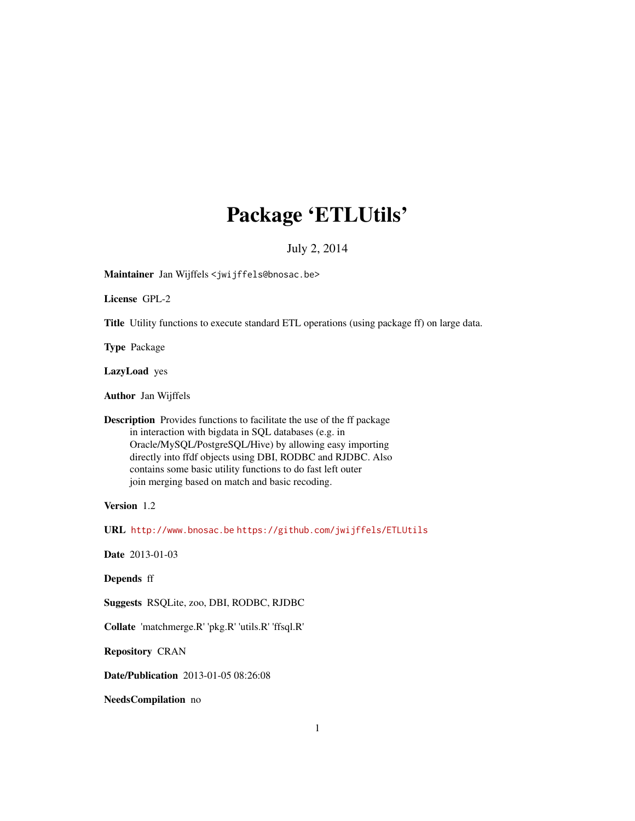## Package 'ETLUtils'

July 2, 2014

<span id="page-0-0"></span>Maintainer Jan Wijffels <jwijffels@bnosac.be>

License GPL-2

Title Utility functions to execute standard ETL operations (using package ff) on large data.

Type Package

LazyLoad yes

Author Jan Wijffels

Description Provides functions to facilitate the use of the ff package in interaction with bigdata in SQL databases (e.g. in Oracle/MySQL/PostgreSQL/Hive) by allowing easy importing directly into ffdf objects using DBI, RODBC and RJDBC. Also contains some basic utility functions to do fast left outer join merging based on match and basic recoding.

Version 1.2

URL <http://www.bnosac.be> <https://github.com/jwijffels/ETLUtils>

Date 2013-01-03

Depends ff

Suggests RSQLite, zoo, DBI, RODBC, RJDBC

Collate 'matchmerge.R' 'pkg.R' 'utils.R' 'ffsql.R'

Repository CRAN

Date/Publication 2013-01-05 08:26:08

NeedsCompilation no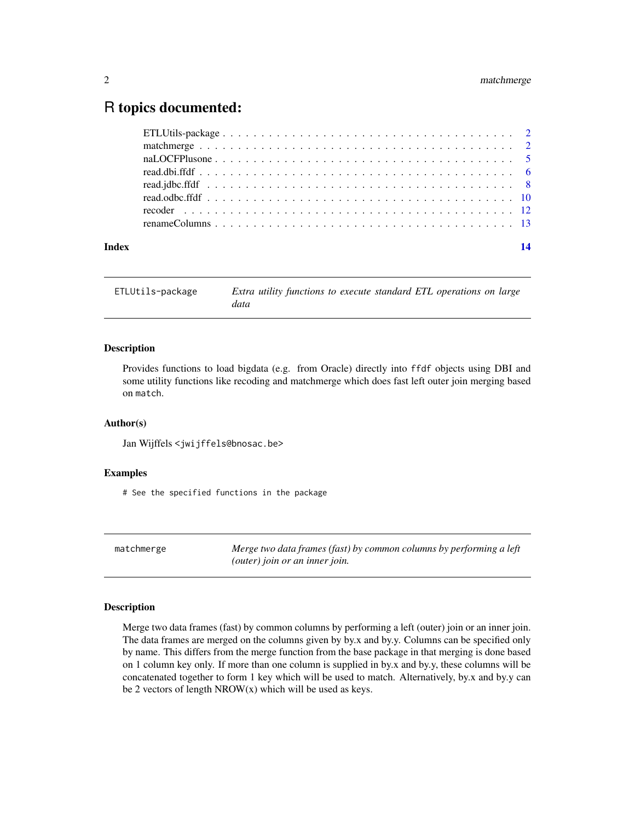### <span id="page-1-0"></span>R topics documented:

| Index | 14 |
|-------|----|
|       |    |
|       |    |
|       |    |
|       |    |
|       |    |
|       |    |
|       |    |
|       |    |

ETLUtils-package *Extra utility functions to execute standard ETL operations on large data*

#### Description

Provides functions to load bigdata (e.g. from Oracle) directly into ffdf objects using DBI and some utility functions like recoding and matchmerge which does fast left outer join merging based on match.

#### Author(s)

Jan Wijffels <jwijffels@bnosac.be>

#### Examples

# See the specified functions in the package

matchmerge *Merge two data frames (fast) by common columns by performing a left (outer) join or an inner join.*

#### Description

Merge two data frames (fast) by common columns by performing a left (outer) join or an inner join. The data frames are merged on the columns given by by.x and by.y. Columns can be specified only by name. This differs from the merge function from the base package in that merging is done based on 1 column key only. If more than one column is supplied in by.x and by.y, these columns will be concatenated together to form 1 key which will be used to match. Alternatively, by.x and by.y can be 2 vectors of length  $NROW(x)$  which will be used as keys.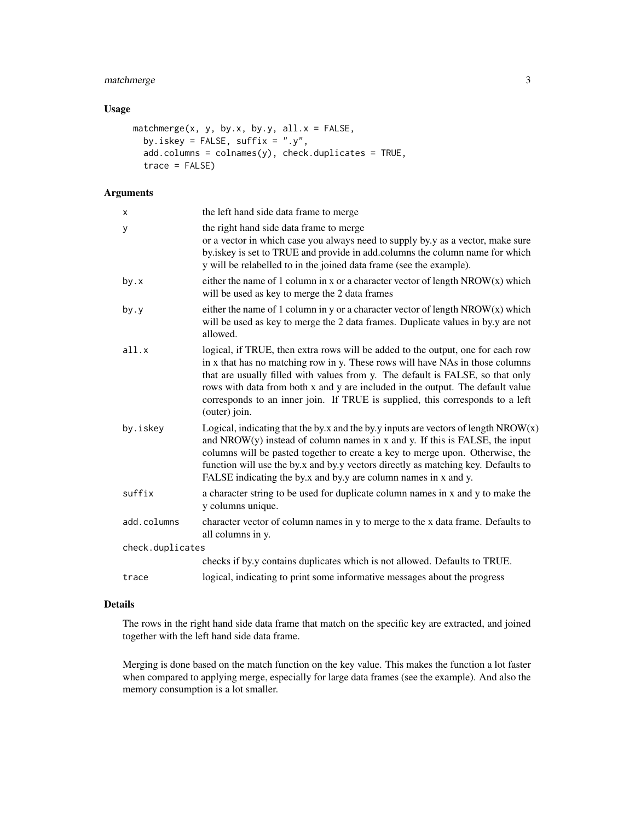#### matchmerge 3

#### Usage

```
matchmerge(x, y, by.x, by.y, all.x = FALSE,
 by.iskey = FALSE, suffix = ".y",add.columns = colnames(y), check.duplicates = TRUE,
  trace = FALSE)
```
#### Arguments

| X                | the left hand side data frame to merge                                                                                                                                                                                                                                                                                                                                                                                                 |
|------------------|----------------------------------------------------------------------------------------------------------------------------------------------------------------------------------------------------------------------------------------------------------------------------------------------------------------------------------------------------------------------------------------------------------------------------------------|
| У                | the right hand side data frame to merge<br>or a vector in which case you always need to supply by y as a vector, make sure<br>by iskey is set to TRUE and provide in add.columns the column name for which<br>y will be relabelled to in the joined data frame (see the example).                                                                                                                                                      |
| by.x             | either the name of 1 column in x or a character vector of length $NROW(x)$ which<br>will be used as key to merge the 2 data frames                                                                                                                                                                                                                                                                                                     |
| by.y             | either the name of 1 column in y or a character vector of length $NROW(x)$ which<br>will be used as key to merge the 2 data frames. Duplicate values in by y are not<br>allowed.                                                                                                                                                                                                                                                       |
| all.x            | logical, if TRUE, then extra rows will be added to the output, one for each row<br>in x that has no matching row in y. These rows will have NAs in those columns<br>that are usually filled with values from y. The default is FALSE, so that only<br>rows with data from both x and y are included in the output. The default value<br>corresponds to an inner join. If TRUE is supplied, this corresponds to a left<br>(outer) join. |
| by.iskey         | Logical, indicating that the by.x and the by.y inputs are vectors of length $NROW(x)$<br>and $NROW(y)$ instead of column names in x and y. If this is FALSE, the input<br>columns will be pasted together to create a key to merge upon. Otherwise, the<br>function will use the by.x and by.y vectors directly as matching key. Defaults to<br>FALSE indicating the by.x and by.y are column names in x and y.                        |
| suffix           | a character string to be used for duplicate column names in x and y to make the<br>y columns unique.                                                                                                                                                                                                                                                                                                                                   |
| add.columns      | character vector of column names in y to merge to the x data frame. Defaults to<br>all columns in y.                                                                                                                                                                                                                                                                                                                                   |
| check.duplicates |                                                                                                                                                                                                                                                                                                                                                                                                                                        |
|                  | checks if by y contains duplicates which is not allowed. Defaults to TRUE.                                                                                                                                                                                                                                                                                                                                                             |
| trace            | logical, indicating to print some informative messages about the progress                                                                                                                                                                                                                                                                                                                                                              |
|                  |                                                                                                                                                                                                                                                                                                                                                                                                                                        |

#### Details

The rows in the right hand side data frame that match on the specific key are extracted, and joined together with the left hand side data frame.

Merging is done based on the match function on the key value. This makes the function a lot faster when compared to applying merge, especially for large data frames (see the example). And also the memory consumption is a lot smaller.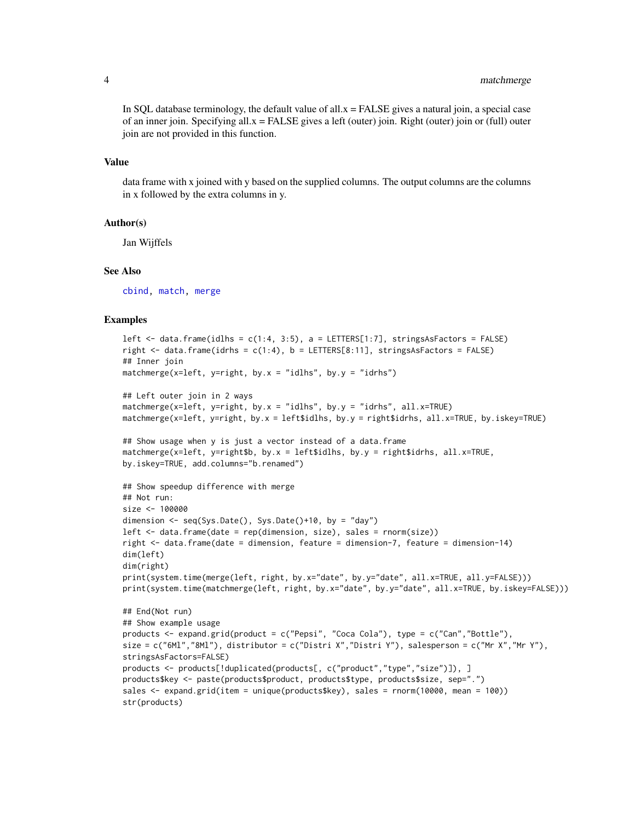<span id="page-3-0"></span>In SQL database terminology, the default value of all. $x =$ FALSE gives a natural join, a special case of an inner join. Specifying all.x = FALSE gives a left (outer) join. Right (outer) join or (full) outer join are not provided in this function.

#### Value

data frame with x joined with y based on the supplied columns. The output columns are the columns in x followed by the extra columns in y.

#### Author(s)

Jan Wijffels

#### See Also

[cbind,](#page-0-0) [match,](#page-0-0) [merge](#page-0-0)

#### Examples

```
left \le data.frame(idlhs = c(1:4, 3:5), a = LETTERS[1:7], stringsAsFactors = FALSE)
right \le data.frame(idrhs = c(1:4), b = LETTERS[8:11], stringsAsFactors = FALSE)
## Inner join
matchmerge(x=left, y=right, by.x = "idlhs", by.y = "idrhs")
## Left outer join in 2 ways
matchmerge(x=left, y=right, by.x = "idlhs", by.y = "idrhs", all.x=TRUE)
matchmerge(x=left, y=right, by.x = left$idlhs, by.y = right$idrhs, all.x=TRUE, by.iskey=TRUE)
## Show usage when y is just a vector instead of a data.frame
matchmerge(x=left, y=right$b, by.x = left$idlhs, by.y = right$idrhs, all.x=TRUE,
by.iskey=TRUE, add.columns="b.renamed")
## Show speedup difference with merge
## Not run:
size <- 100000
dimension \leq seq(Sys.Date(), Sys.Date()+10, by = "day")
left \leq data.frame(date = rep(dimension, size), sales = rnorm(size))
right <- data.frame(date = dimension, feature = dimension-7, feature = dimension-14)
dim(left)
dim(right)
print(system.time(merge(left, right, by.x="date", by.y="date", all.x=TRUE, all.y=FALSE)))
print(system.time(matchmerge(left, right, by.x="date", by.y="date", all.x=TRUE, by.iskey=FALSE)))
## End(Not run)
## Show example usage
products <- expand.grid(product = c("Pepsi", "Coca Cola"), type = c("Can","Bottle"),
size = c("6M1", "8M1"), distributor = c("Distri X", "Distri Y"), salesperson = c("Mr X", "Mr Y"),stringsAsFactors=FALSE)
products <- products[!duplicated(products[, c("product","type","size")]), ]
products$key <- paste(products$product, products$type, products$size, sep=".")
sales <- expand.grid(item = unique(products$key), sales = rnorm(10000, mean = 100))
str(products)
```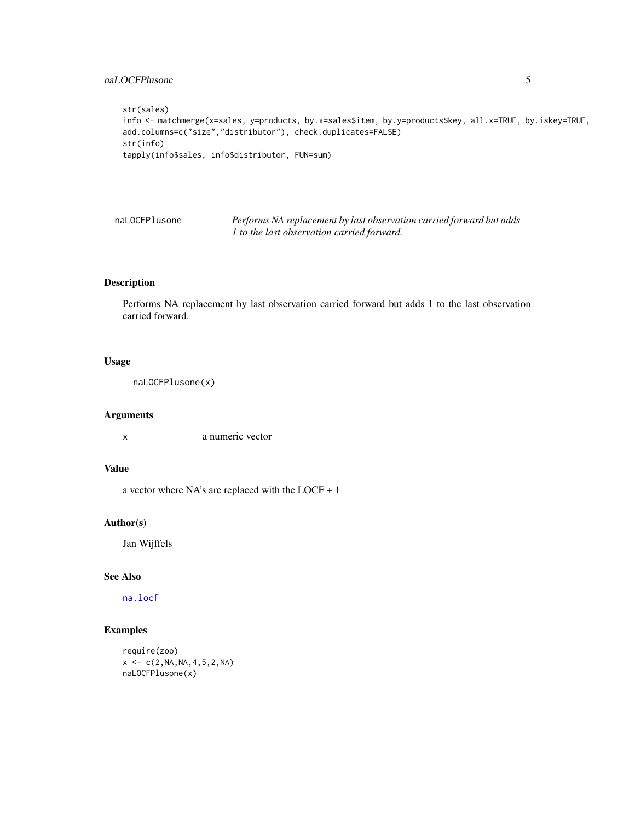#### <span id="page-4-0"></span>naLOCFPlusone 5

```
str(sales)
info <- matchmerge(x=sales, y=products, by.x=sales$item, by.y=products$key, all.x=TRUE, by.iskey=TRUE,
add.columns=c("size","distributor"), check.duplicates=FALSE)
str(info)
tapply(info$sales, info$distributor, FUN=sum)
```

| naLOCFPlusone | Performs NA replacement by last observation carried forward but adds |
|---------------|----------------------------------------------------------------------|
|               | 1 to the last observation carried forward.                           |

#### Description

Performs NA replacement by last observation carried forward but adds 1 to the last observation carried forward.

#### Usage

naLOCFPlusone(x)

#### Arguments

x a numeric vector

#### Value

a vector where NA's are replaced with the LOCF + 1

#### Author(s)

Jan Wijffels

#### See Also

[na.locf](#page-0-0)

#### Examples

```
require(zoo)
x \leq -c(2, NA, NA, 4, 5, 2, NA)naLOCFPlusone(x)
```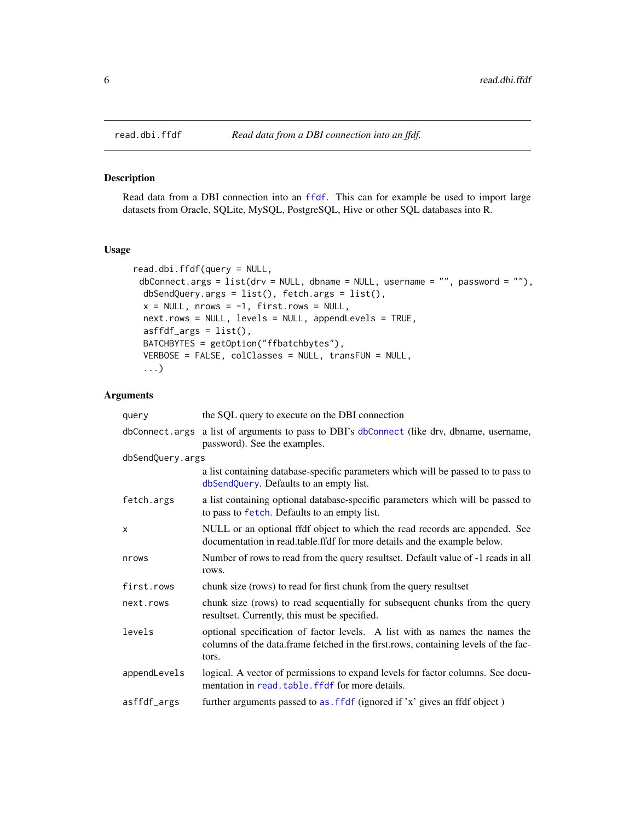#### Description

Read data from a DBI connection into an [ffdf](#page-0-0). This can for example be used to import large datasets from Oracle, SQLite, MySQL, PostgreSQL, Hive or other SQL databases into R.

#### Usage

```
read.dbi.ffdf(query = NULL,
 dbConnect.args = list(dr = NULL, dbname = NULL, username = "", password = ""),
 dbSendQuery.args = list(), fetch.args = list(),
 x = NULL, nrows = -1, first.rows = NULL,
 next.rows = NULL, levels = NULL, appendLevels = TRUE,
 asffdf_{args} = list(),BATCHBYTES = getOption("ffbatchbytes"),
 VERBOSE = FALSE, colClasses = NULL, transFUN = NULL,
  ...)
```
#### Arguments

| query            | the SQL query to execute on the DBI connection                                                                                                                             |
|------------------|----------------------------------------------------------------------------------------------------------------------------------------------------------------------------|
|                  | dbConnect.args a list of arguments to pass to DBI's dbConnect (like drv, dbname, username,<br>password). See the examples.                                                 |
| dbSendQuery.args |                                                                                                                                                                            |
|                  | a list containing database-specific parameters which will be passed to to pass to<br>dbSendQuery. Defaults to an empty list.                                               |
| fetch.args       | a list containing optional database-specific parameters which will be passed to<br>to pass to fetch. Defaults to an empty list.                                            |
| X                | NULL or an optional ffdf object to which the read records are appended. See<br>documentation in read.table.ffdf for more details and the example below.                    |
| nrows            | Number of rows to read from the query resultset. Default value of -1 reads in all<br>rows.                                                                                 |
| first.rows       | chunk size (rows) to read for first chunk from the query resultset                                                                                                         |
| next.rows        | chunk size (rows) to read sequentially for subsequent chunks from the query<br>resultset. Currently, this must be specified.                                               |
| levels           | optional specification of factor levels. A list with as names the names the<br>columns of the data.frame fetched in the first.rows, containing levels of the fac-<br>tors. |
| appendLevels     | logical. A vector of permissions to expand levels for factor columns. See docu-<br>mentation in read. table. ffdf for more details.                                        |
| asffdf_args      | further arguments passed to as. ffdf (ignored if 'x' gives an ffdf object)                                                                                                 |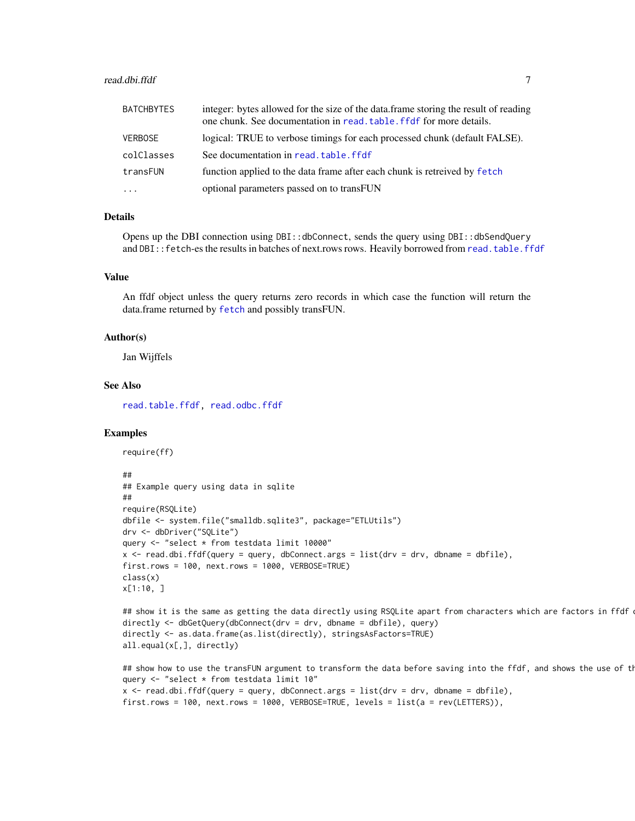#### <span id="page-6-0"></span>read.dbi.ffdf 7

| <b>BATCHBYTES</b>   | integer: bytes allowed for the size of the data.frame storing the result of reading<br>one chunk. See documentation in read. table. ffdf for more details. |
|---------------------|------------------------------------------------------------------------------------------------------------------------------------------------------------|
| <b>VERBOSE</b>      | logical: TRUE to verbose timings for each processed chunk (default FALSE).                                                                                 |
| colClasses          | See documentation in read, table, ffdf                                                                                                                     |
| transFUN            | function applied to the data frame after each chunk is retreived by fetch                                                                                  |
| $\cdot \cdot \cdot$ | optional parameters passed on to transFUN                                                                                                                  |

#### Details

Opens up the DBI connection using DBI::dbConnect, sends the query using DBI::dbSendQuery and DBI:: fetch-es the results in batches of next.rows rows. Heavily borrowed from [read.table.ffdf](#page-0-0)

#### Value

An ffdf object unless the query returns zero records in which case the function will return the data.frame returned by [fetch](#page-0-0) and possibly transFUN.

#### Author(s)

Jan Wijffels

#### See Also

[read.table.ffdf,](#page-0-0) [read.odbc.ffdf](#page-9-1)

#### Examples

require(ff)

#### ##

```
## Example query using data in sqlite
##
require(RSQLite)
dbfile <- system.file("smalldb.sqlite3", package="ETLUtils")
drv <- dbDriver("SQLite")
query <- "select * from testdata limit 10000"
x <- read.dbi.ffdf(query = query, dbConnect.args = list(drv = drv, dbname = dbfile),
first.rows = 100, next.rows = 1000, VERBOSE=TRUE)
class(x)
x[1:10, ]
```

```
## show it is the same as getting the data directly using RSQLite apart from characters which are factors in ffdf
directly <- dbGetQuery(dbConnect(drv = drv, dbname = dbfile), query)
directly <- as.data.frame(as.list(directly), stringsAsFactors=TRUE)
all.equal(x[,], directly)
```

```
## show how to use the transFUN argument to transform the data before saving into the ffdf, and shows the use of th
query <- "select * from testdata limit 10"
x <- read.dbi.ffdf(query = query, dbConnect.args = list(drv = drv, dbname = dbfile),
first.rows = 100, next.rows = 1000, VERBOSE=TRUE, levels = list(a = rev(LETTERS)),
```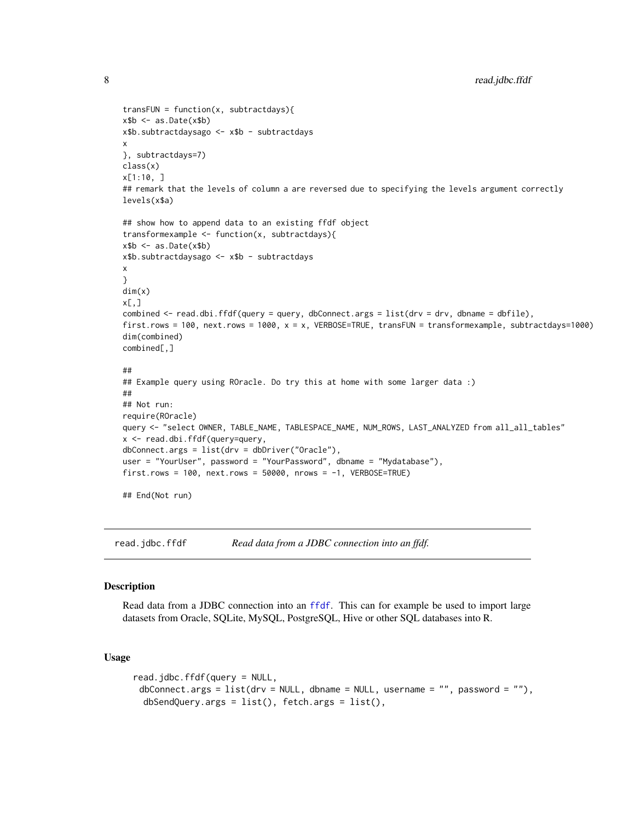```
transFUN = function(x, subtractdays){
x$b < as.Date(x$b)
x$b.subtractdaysago <- x$b - subtractdays
x
}, subtractdays=7)
class(x)
x[1:10, ]
## remark that the levels of column a are reversed due to specifying the levels argument correctly
levels(x$a)
## show how to append data to an existing ffdf object
transformexample <- function(x, subtractdays){
x$b <- as.Date(x$b)
x$b.subtractdaysago <- x$b - subtractdays
x
}
dim(x)
x[,]combined <- read.dbi.ffdf(query = query, dbConnect.args = list(drv = drv, dbname = dbfile),
first.rows = 100, next.rows = 1000, x = x, VERBOSE=TRUE, transFUN = transformexample, subtractdays=1000)
dim(combined)
combined[,]
##
## Example query using ROracle. Do try this at home with some larger data :)
##
## Not run:
require(ROracle)
query <- "select OWNER, TABLE_NAME, TABLESPACE_NAME, NUM_ROWS, LAST_ANALYZED from all_all_tables"
x <- read.dbi.ffdf(query=query,
dbConnect.args = list(drv = dbDriver("Oracle"),
user = "YourUser", password = "YourPassword", dbname = "Mydatabase"),
first.rows = 100, next.rows = 50000, nrows = -1, VERBOSE=TRUE)
## End(Not run)
```
<span id="page-7-1"></span>read.jdbc.ffdf *Read data from a JDBC connection into an ffdf.*

#### **Description**

Read data from a JDBC connection into an [ffdf](#page-0-0). This can for example be used to import large datasets from Oracle, SQLite, MySQL, PostgreSQL, Hive or other SQL databases into R.

#### Usage

```
read.jdbc.ffdf(query = NULL,
 dbConnect.args = list(dr = NULL, dbname = NULL, username = "", password = "");dbSendQuery.args = list(), fetch.args = list(),
```
<span id="page-7-0"></span>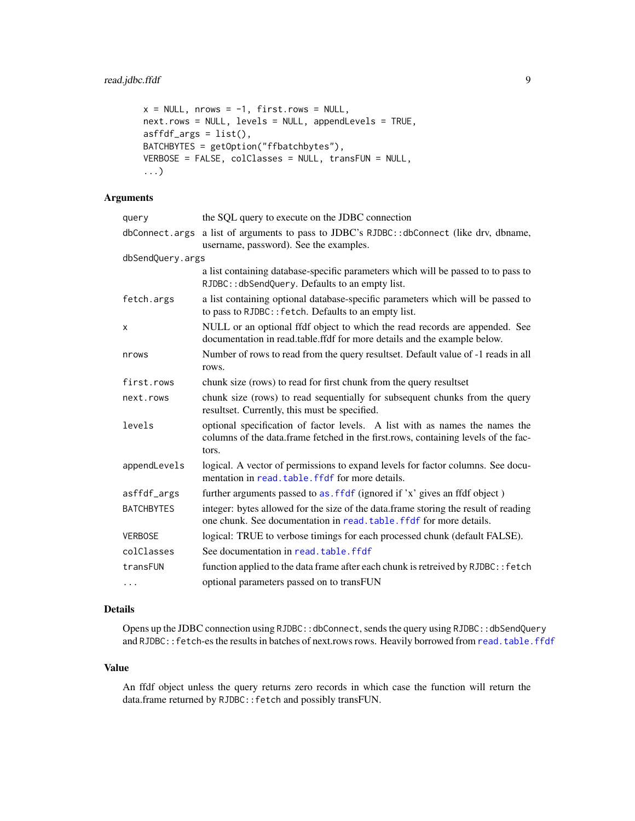```
x = NULL, nrows = -1, first.rows = NULL,
next.rows = NULL, levels = NULL, appendLevels = TRUE,
asffdf_{args} = list(),BATCHBYTES = getOption("ffbatchbytes"),
VERBOSE = FALSE, colClasses = NULL, transFUN = NULL,
...)
```
#### Arguments

| query             | the SQL query to execute on the JDBC connection                                                                                                                            |
|-------------------|----------------------------------------------------------------------------------------------------------------------------------------------------------------------------|
| dbConnect.args    | a list of arguments to pass to JDBC's RJDBC::dbConnect (like drv, dbname,<br>username, password). See the examples.                                                        |
| dbSendQuery.args  |                                                                                                                                                                            |
|                   | a list containing database-specific parameters which will be passed to to pass to<br>RJDBC:: dbSendQuery. Defaults to an empty list.                                       |
| fetch.args        | a list containing optional database-specific parameters which will be passed to<br>to pass to RJDBC:: fetch. Defaults to an empty list.                                    |
| X                 | NULL or an optional ffdf object to which the read records are appended. See<br>documentation in read.table.ffdf for more details and the example below.                    |
| nrows             | Number of rows to read from the query resultset. Default value of -1 reads in all<br>rows.                                                                                 |
| first.rows        | chunk size (rows) to read for first chunk from the query resultset                                                                                                         |
| next.rows         | chunk size (rows) to read sequentially for subsequent chunks from the query<br>resultset. Currently, this must be specified.                                               |
| levels            | optional specification of factor levels. A list with as names the names the<br>columns of the data.frame fetched in the first.rows, containing levels of the fac-<br>tors. |
| appendLevels      | logical. A vector of permissions to expand levels for factor columns. See docu-<br>mentation in read. table. ffdf for more details.                                        |
| asffdf_args       | further arguments passed to as . f f df (ignored if 'x' gives an ffdf object)                                                                                              |
| <b>BATCHBYTES</b> | integer: bytes allowed for the size of the data.frame storing the result of reading<br>one chunk. See documentation in read, table, ffdf for more details.                 |
| <b>VERBOSE</b>    | logical: TRUE to verbose timings for each processed chunk (default FALSE).                                                                                                 |
| colClasses        | See documentation in read, table, ffdf                                                                                                                                     |
| transFUN          | function applied to the data frame after each chunk is retreived by RJDBC:: fetch                                                                                          |
| .                 | optional parameters passed on to transFUN                                                                                                                                  |

#### Details

Opens up the JDBC connection using RJDBC::dbConnect, sends the query using RJDBC::dbSendQuery and RJDBC:: fetch-es the results in batches of next.rows rows. Heavily borrowed from [read.table.ffdf](#page-0-0)

#### Value

An ffdf object unless the query returns zero records in which case the function will return the data.frame returned by RJDBC::fetch and possibly transFUN.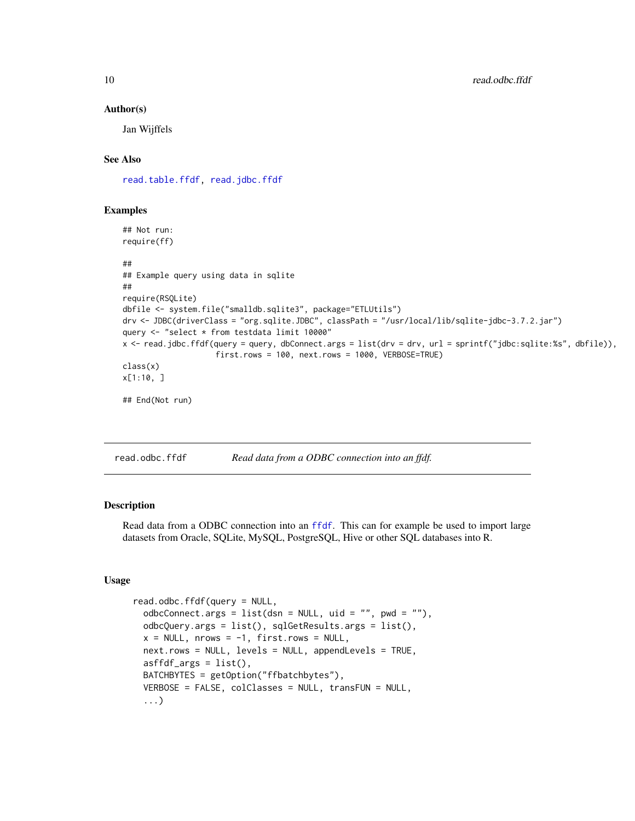#### Author(s)

Jan Wijffels

#### See Also

[read.table.ffdf,](#page-0-0) [read.jdbc.ffdf](#page-7-1)

#### Examples

```
## Not run:
require(ff)
##
## Example query using data in sqlite
##
require(RSQLite)
dbfile <- system.file("smalldb.sqlite3", package="ETLUtils")
drv <- JDBC(driverClass = "org.sqlite.JDBC", classPath = "/usr/local/lib/sqlite-jdbc-3.7.2.jar")
query <- "select * from testdata limit 10000"
x <- read.jdbc.ffdf(query = query, dbConnect.args = list(drv = drv, url = sprintf("jdbc:sqlite:%s", dbfile)),
                    first.rows = 100, next.rows = 1000, VERBOSE=TRUE)
class(x)
x[1:10, ]
## End(Not run)
```
<span id="page-9-1"></span>read.odbc.ffdf *Read data from a ODBC connection into an ffdf.*

#### Description

Read data from a ODBC connection into an [ffdf](#page-0-0). This can for example be used to import large datasets from Oracle, SQLite, MySQL, PostgreSQL, Hive or other SQL databases into R.

#### Usage

```
read.odbc.ffdf(query = NULL,
 odbcConnect.args = list(dsn = NULL, uid = ", pwd = "),
 odbcQuery.args = list(), sqlGetResults.args = list(),
 x = NULL, nrows = -1, first.rows = NULL,
 next.rows = NULL, levels = NULL, appendLevels = TRUE,
 asffdf_{args} = list(),BATCHBYTES = getOption("ffbatchbytes"),
 VERBOSE = FALSE, colClasses = NULL, transFUN = NULL,
  ...)
```
<span id="page-9-0"></span>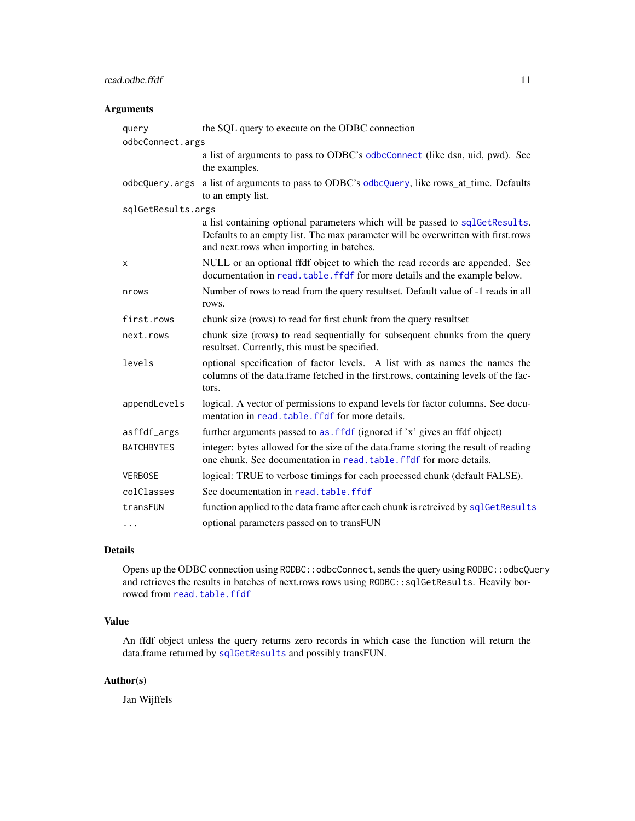#### <span id="page-10-0"></span>read.odbc.ffdf 11

#### Arguments

| query<br>odbcConnect.args | the SQL query to execute on the ODBC connection                                                                                                                                                              |
|---------------------------|--------------------------------------------------------------------------------------------------------------------------------------------------------------------------------------------------------------|
|                           | a list of arguments to pass to ODBC's odbcConnect (like dsn, uid, pwd). See<br>the examples.                                                                                                                 |
| odbcQuery.args            | a list of arguments to pass to ODBC's odbcQuery, like rows_at_time. Defaults<br>to an empty list.                                                                                                            |
| sqlGetResults.args        |                                                                                                                                                                                                              |
|                           | a list containing optional parameters which will be passed to sqlGetResults.<br>Defaults to an empty list. The max parameter will be overwritten with first.rows<br>and next.rows when importing in batches. |
| X                         | NULL or an optional ffdf object to which the read records are appended. See<br>documentation in read. table. ffdf for more details and the example below.                                                    |
| nrows                     | Number of rows to read from the query resultset. Default value of -1 reads in all<br>rows.                                                                                                                   |
| first.rows                | chunk size (rows) to read for first chunk from the query resultset                                                                                                                                           |
| next.rows                 | chunk size (rows) to read sequentially for subsequent chunks from the query<br>resultset. Currently, this must be specified.                                                                                 |
| levels                    | optional specification of factor levels. A list with as names the names the<br>columns of the data.frame fetched in the first.rows, containing levels of the fac-<br>tors.                                   |
| appendLevels              | logical. A vector of permissions to expand levels for factor columns. See docu-<br>mentation in read. table. ffdf for more details.                                                                          |
| asffdf_args               | further arguments passed to as. ffdf (ignored if 'x' gives an ffdf object)                                                                                                                                   |
| <b>BATCHBYTES</b>         | integer: bytes allowed for the size of the data.frame storing the result of reading<br>one chunk. See documentation in read, table, ffdf for more details.                                                   |
| <b>VERBOSE</b>            | logical: TRUE to verbose timings for each processed chunk (default FALSE).                                                                                                                                   |
| colClasses                | See documentation in read. table. ffdf                                                                                                                                                                       |
| transFUN                  | function applied to the data frame after each chunk is retreived by sqlGetResults                                                                                                                            |
|                           | optional parameters passed on to transFUN                                                                                                                                                                    |

#### Details

Opens up the ODBC connection using RODBC::odbcConnect, sends the query using RODBC::odbcQuery and retrieves the results in batches of next.rows rows using RODBC::sqlGetResults. Heavily borrowed from [read.table.ffdf](#page-0-0)

#### Value

An ffdf object unless the query returns zero records in which case the function will return the data.frame returned by [sqlGetResults](#page-0-0) and possibly transFUN.

#### Author(s)

Jan Wijffels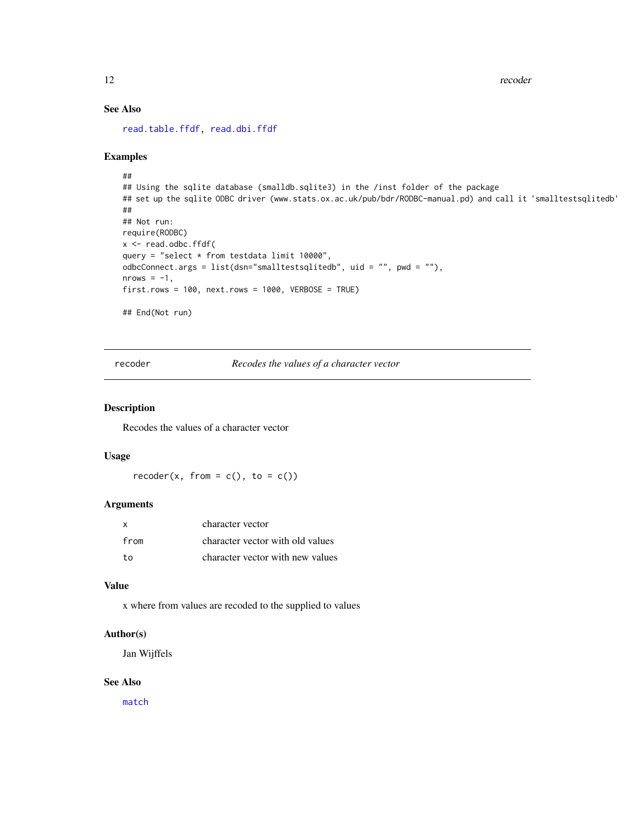<span id="page-11-0"></span>12 recoder

#### See Also

[read.table.ffdf,](#page-0-0) [read.dbi.ffdf](#page-5-1)

#### Examples

```
##
## Using the sqlite database (smalldb.sqlite3) in the /inst folder of the package
## set up the sqlite ODBC driver (www.stats.ox.ac.uk/pub/bdr/RODBC-manual.pd) and call it 'smalltestsqlitedb'
##
## Not run:
require(RODBC)
x <- read.odbc.ffdf(
query = "select * from testdata limit 10000",
odbcConnect.args = list(dsn="smalltestsqlitedb", uid = "", pwd = ""),
nrows = -1,
first rows = 100, next rows = 1000, VERBOSE = TRUE## End(Not run)
```
<span id="page-11-1"></span>recoder *Recodes the values of a character vector*

#### Description

Recodes the values of a character vector

#### Usage

 $recode(x, from = c(), to = c())$ 

#### Arguments

| X    | character vector                 |
|------|----------------------------------|
| from | character vector with old values |
| to   | character vector with new values |

#### Value

x where from values are recoded to the supplied to values

#### Author(s)

Jan Wijffels

#### See Also

[match](#page-0-0)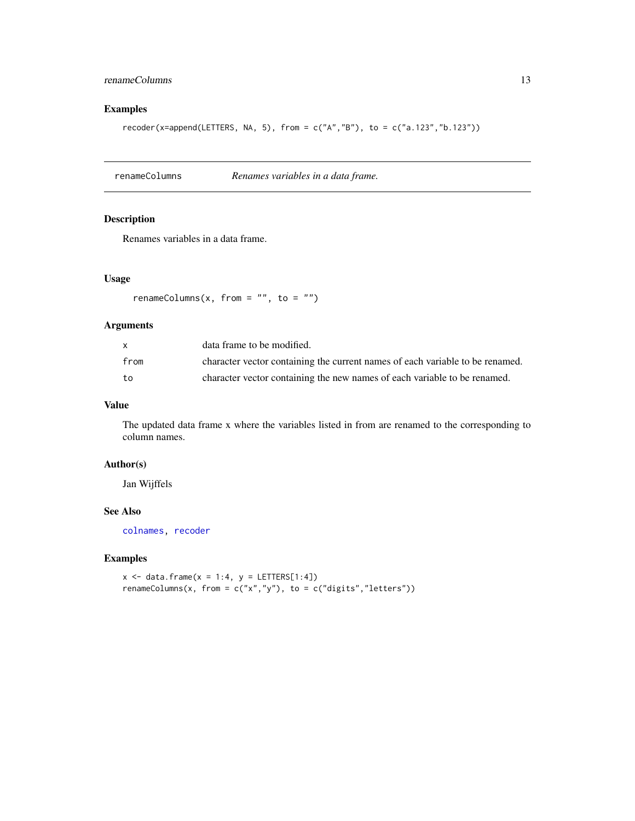#### <span id="page-12-0"></span>renameColumns 13

#### Examples

recoder(x=append(LETTERS, NA, 5), from =  $c("A", "B"), to = c("a.123", "b.123"))$ 

renameColumns *Renames variables in a data frame.*

#### Description

Renames variables in a data frame.

#### Usage

renameColumns(x, from =  $"$ , to =  $"$ )

#### Arguments

| X    | data frame to be modified.                                                    |
|------|-------------------------------------------------------------------------------|
| from | character vector containing the current names of each variable to be renamed. |
| to   | character vector containing the new names of each variable to be renamed.     |

#### Value

The updated data frame x where the variables listed in from are renamed to the corresponding to column names.

#### Author(s)

Jan Wijffels

#### See Also

[colnames,](#page-0-0) [recoder](#page-11-1)

#### Examples

 $x \le -$  data.frame( $x = 1:4$ ,  $y =$  LETTERS[1:4]) renameColumns(x, from =  $c("x", "y")$ , to =  $c("digits", "letters"))$